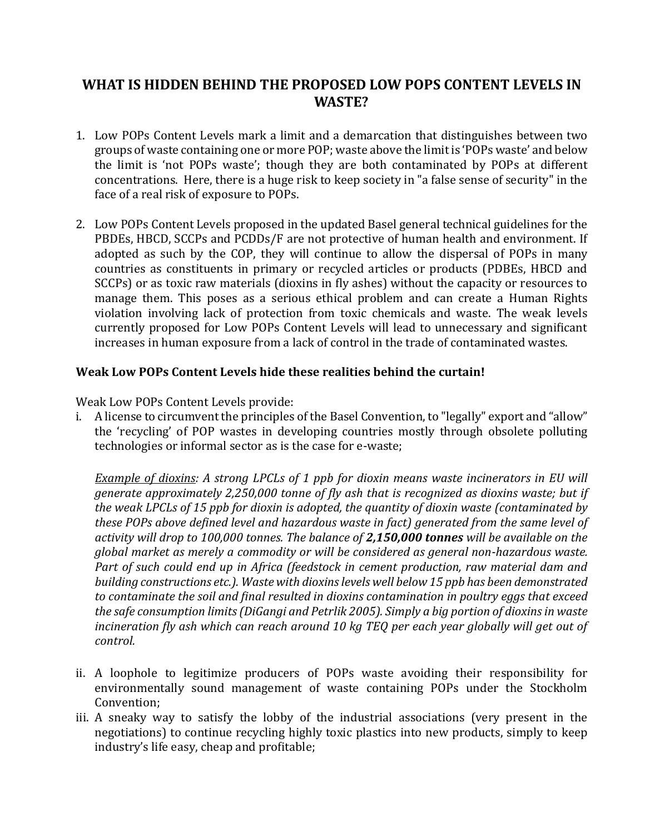## **WHAT IS HIDDEN BEHIND THE PROPOSED LOW POPS CONTENT LEVELS IN WASTE?**

- 1. Low POPs Content Levels mark a limit and a demarcation that distinguishes between two groups of waste containing one or more POP; waste above the limit is 'POPs waste' and below the limit is 'not POPs waste'; though they are both contaminated by POPs at different concentrations. Here, there is a huge risk to keep society in "a false sense of security" in the face of a real risk of exposure to POPs.
- 2. Low POPs Content Levels proposed in the updated Basel general technical guidelines for the PBDEs, HBCD, SCCPs and PCDDs/F are not protective of human health and environment. If adopted as such by the COP, they will continue to allow the dispersal of POPs in many countries as constituents in primary or recycled articles or products (PDBEs, HBCD and SCCPs) or as toxic raw materials (dioxins in fly ashes) without the capacity or resources to manage them. This poses as a serious ethical problem and can create a Human Rights violation involving lack of protection from toxic chemicals and waste. The weak levels currently proposed for Low POPs Content Levels will lead to unnecessary and significant increases in human exposure from a lack of control in the trade of contaminated wastes.

## **Weak Low POPs Content Levels hide these realities behind the curtain!**

Weak Low POPs Content Levels provide:

i. A license to circumvent the principles of the Basel Convention, to "legally" export and "allow" the 'recycling' of POP wastes in developing countries mostly through obsolete polluting technologies or informal sector as is the case for e-waste;

*Example of dioxins: A strong LPCLs of 1 ppb for dioxin means waste incinerators in EU will generate approximately 2,250,000 tonne of fly ash that is recognized as dioxins waste; but if the weak LPCLs of 15 ppb for dioxin is adopted, the quantity of dioxin waste (contaminated by these POPs above defined level and hazardous waste in fact) generated from the same level of activity will drop to 100,000 tonnes. The balance of 2,150,000 tonnes will be available on the global market as merely a commodity or will be considered as general non-hazardous waste. Part of such could end up in Africa (feedstock in cement production, raw material dam and building constructions etc.). Waste with dioxins levels well below 15 ppb has been demonstrated to contaminate the soil and final resulted in dioxins contamination in poultry eggs that exceed the safe consumption limits (DiGangi and Petrlik 2005). Simply a big portion of dioxins in waste*  incineration fly ash which can reach around 10 kg TEQ per each year globally will get out of *control.*

- ii. A loophole to legitimize producers of POPs waste avoiding their responsibility for environmentally sound management of waste containing POPs under the Stockholm Convention;
- iii. A sneaky way to satisfy the lobby of the industrial associations (very present in the negotiations) to continue recycling highly toxic plastics into new products, simply to keep industry's life easy, cheap and profitable;